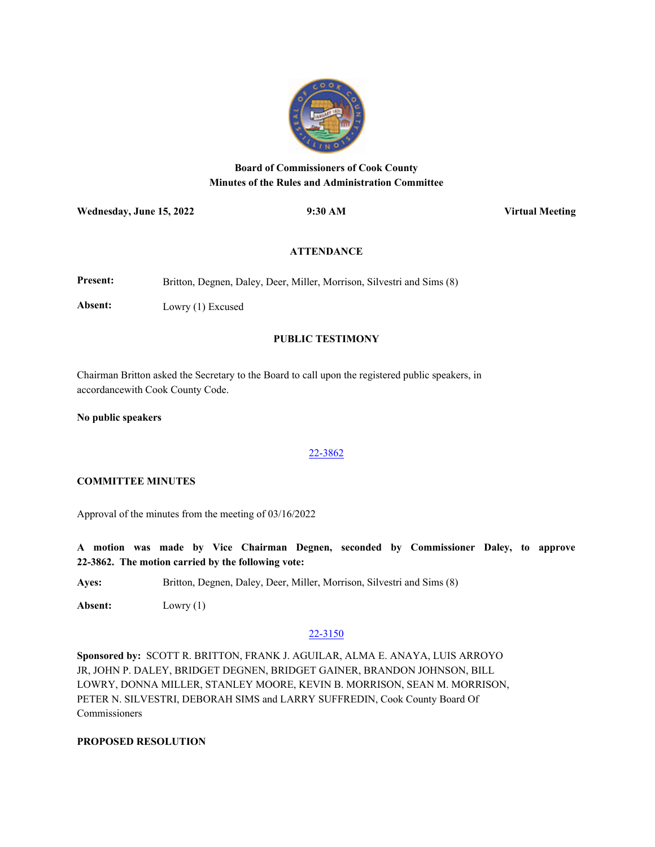

# **Board of Commissioners of Cook County Minutes of the Rules and Administration Committee**

**Wednesday, June 15, 2022 9:30 AM Virtual Meeting**

### **ATTENDANCE**

**Present:** Britton, Degnen, Daley, Deer, Miller, Morrison, Silvestri and Sims (8)

**Absent:** Lowry (1) Excused

## **PUBLIC TESTIMONY**

Chairman Britton asked the Secretary to the Board to call upon the registered public speakers, in accordancewith Cook County Code.

**No public speakers**

### [22-3862](http://cook-county.legistar.com/gateway.aspx?m=l&id=/matter.aspx?key=61961)

### **COMMITTEE MINUTES**

Approval of the minutes from the meeting of 03/16/2022

**A motion was made by Vice Chairman Degnen, seconded by Commissioner Daley, to approve 22-3862. The motion carried by the following vote:**

**Ayes:** Britton, Degnen, Daley, Deer, Miller, Morrison, Silvestri and Sims (8)

**Absent:** Lowry (1)

### [22-3150](http://cook-county.legistar.com/gateway.aspx?m=l&id=/matter.aspx?key=61311)

**Sponsored by:** SCOTT R. BRITTON, FRANK J. AGUILAR, ALMA E. ANAYA, LUIS ARROYO JR, JOHN P. DALEY, BRIDGET DEGNEN, BRIDGET GAINER, BRANDON JOHNSON, BILL LOWRY, DONNA MILLER, STANLEY MOORE, KEVIN B. MORRISON, SEAN M. MORRISON, PETER N. SILVESTRI, DEBORAH SIMS and LARRY SUFFREDIN, Cook County Board Of **Commissioners** 

## **PROPOSED RESOLUTION**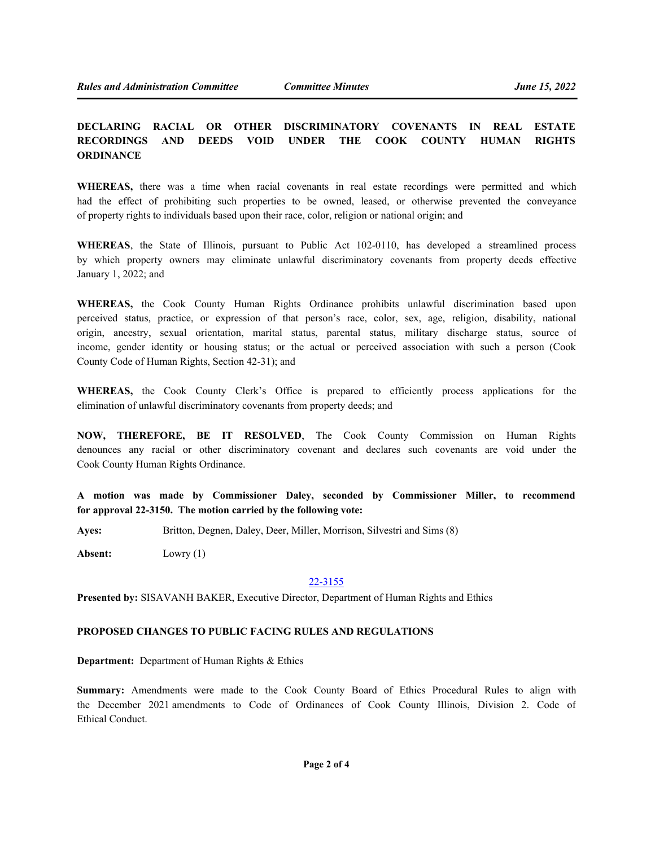## **DECLARING RACIAL OR OTHER DISCRIMINATORY COVENANTS IN REAL ESTATE RECORDINGS AND DEEDS VOID UNDER THE COOK COUNTY HUMAN RIGHTS ORDINANCE**

**WHEREAS,** there was a time when racial covenants in real estate recordings were permitted and which had the effect of prohibiting such properties to be owned, leased, or otherwise prevented the conveyance of property rights to individuals based upon their race, color, religion or national origin; and

**WHEREAS**, the State of Illinois, pursuant to Public Act 102-0110, has developed a streamlined process by which property owners may eliminate unlawful discriminatory covenants from property deeds effective January 1, 2022; and

**WHEREAS,** the Cook County Human Rights Ordinance prohibits unlawful discrimination based upon perceived status, practice, or expression of that person's race, color, sex, age, religion, disability, national origin, ancestry, sexual orientation, marital status, parental status, military discharge status, source of income, gender identity or housing status; or the actual or perceived association with such a person (Cook County Code of Human Rights, Section 42-31); and

**WHEREAS,** the Cook County Clerk's Office is prepared to efficiently process applications for the elimination of unlawful discriminatory covenants from property deeds; and

**NOW, THEREFORE, BE IT RESOLVED**, The Cook County Commission on Human Rights denounces any racial or other discriminatory covenant and declares such covenants are void under the Cook County Human Rights Ordinance.

**A motion was made by Commissioner Daley, seconded by Commissioner Miller, to recommend for approval 22-3150. The motion carried by the following vote:**

**Ayes:** Britton, Degnen, Daley, Deer, Miller, Morrison, Silvestri and Sims (8)

**Absent:** Lowry (1)

#### [22-3155](http://cook-county.legistar.com/gateway.aspx?m=l&id=/matter.aspx?key=61316)

**Presented by:** SISAVANH BAKER, Executive Director, Department of Human Rights and Ethics

#### **PROPOSED CHANGES TO PUBLIC FACING RULES AND REGULATIONS**

**Department:** Department of Human Rights & Ethics

**Summary:** Amendments were made to the Cook County Board of Ethics Procedural Rules to align with the December 2021 amendments to Code of Ordinances of Cook County Illinois, Division 2. Code of Ethical Conduct.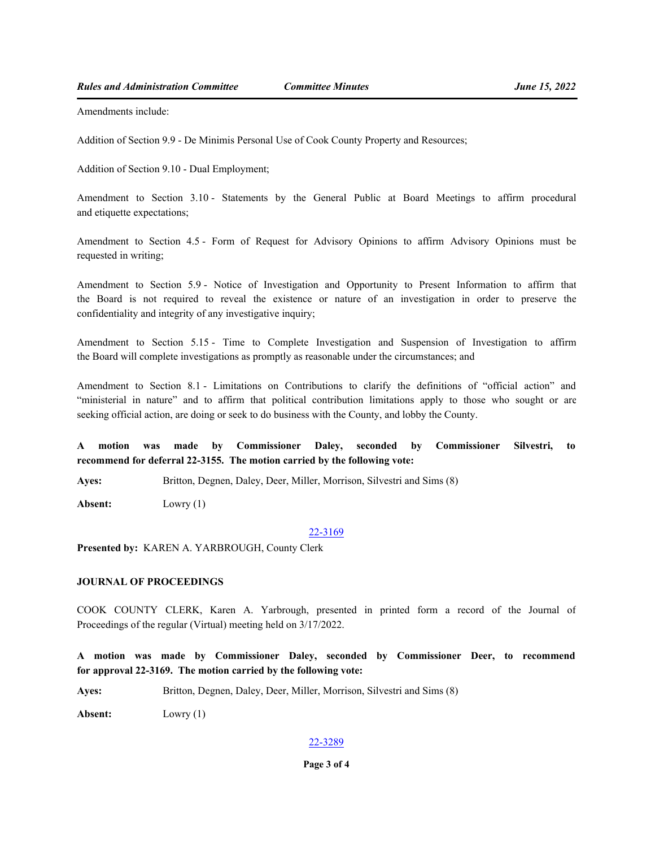Amendments include:

Addition of Section 9.9 - De Minimis Personal Use of Cook County Property and Resources;

Addition of Section 9.10 - Dual Employment;

Amendment to Section 3.10 - Statements by the General Public at Board Meetings to affirm procedural and etiquette expectations;

Amendment to Section 4.5 - Form of Request for Advisory Opinions to affirm Advisory Opinions must be requested in writing;

Amendment to Section 5.9 - Notice of Investigation and Opportunity to Present Information to affirm that the Board is not required to reveal the existence or nature of an investigation in order to preserve the confidentiality and integrity of any investigative inquiry;

Amendment to Section 5.15 - Time to Complete Investigation and Suspension of Investigation to affirm the Board will complete investigations as promptly as reasonable under the circumstances; and

Amendment to Section 8.1 - Limitations on Contributions to clarify the definitions of "official action" and "ministerial in nature" and to affirm that political contribution limitations apply to those who sought or are seeking official action, are doing or seek to do business with the County, and lobby the County.

**A motion was made by Commissioner Daley, seconded by Commissioner Silvestri, to recommend for deferral 22-3155. The motion carried by the following vote:**

**Ayes:** Britton, Degnen, Daley, Deer, Miller, Morrison, Silvestri and Sims (8)

**Absent:** Lowry (1)

#### [22-3169](http://cook-county.legistar.com/gateway.aspx?m=l&id=/matter.aspx?key=61330)

**Presented by:** KAREN A. YARBROUGH, County Clerk

### **JOURNAL OF PROCEEDINGS**

COOK COUNTY CLERK, Karen A. Yarbrough, presented in printed form a record of the Journal of Proceedings of the regular (Virtual) meeting held on 3/17/2022.

**A motion was made by Commissioner Daley, seconded by Commissioner Deer, to recommend for approval 22-3169. The motion carried by the following vote:**

**Ayes:** Britton, Degnen, Daley, Deer, Miller, Morrison, Silvestri and Sims (8)

**Absent:** Lowry (1)

#### [22-3289](http://cook-county.legistar.com/gateway.aspx?m=l&id=/matter.aspx?key=61443)

## **Page 3 of 4**